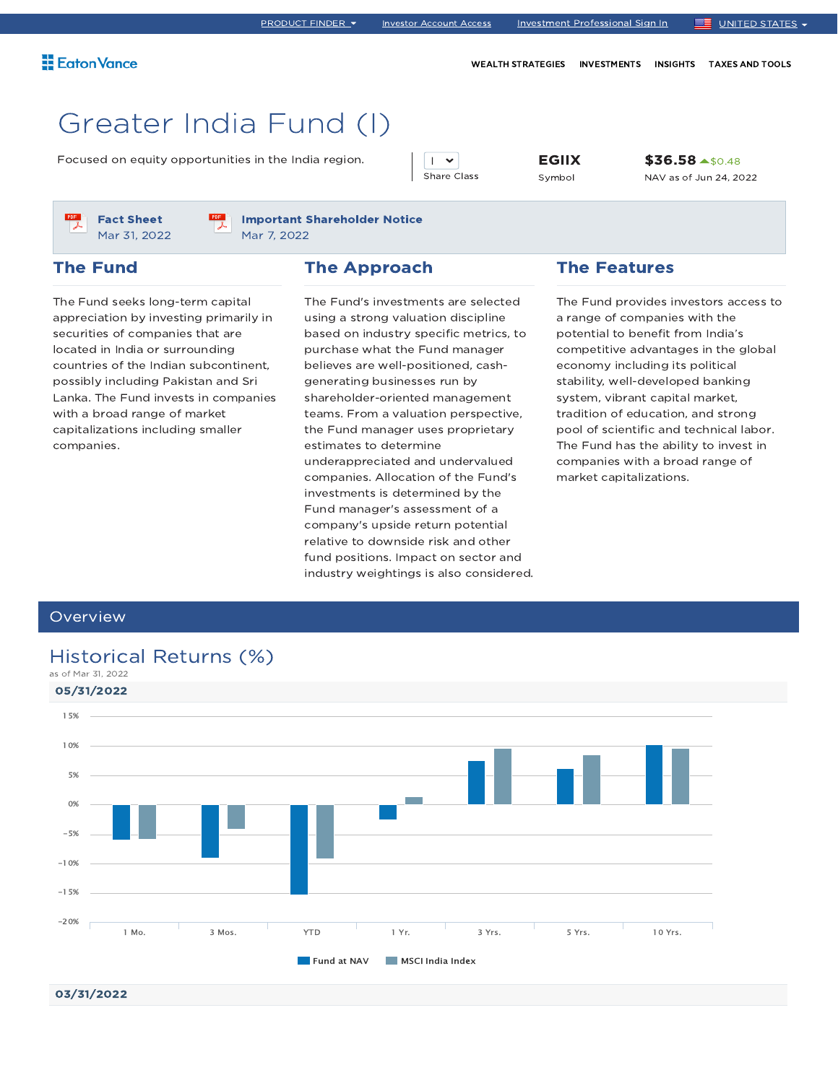WEALTH STRATEGIES INVESTMENTS INSIGHTS TAXES AND TOOLS

# Greater India Fund (I)

Focused on equity opportunities in the India region.  $\boxed{\phantom{a}}$   $\boxed{\phantom{a}}$   $\boxed{\phantom{a}}$  **EGIIX** 

 $\mathsf{I}$   $\mathsf{V}$ Share Class Symbol

\$36.58 ▲ \$0.48 NAV as of Jun 24, 2022



#### Important Shareholder Notice Mar 7, 2022

#### The Fund

#### The Approach

The Fund seeks long-term capital appreciation by investing primarily in securities of companies that are located in India or surrounding countries of the Indian subcontinent, possibly including Pakistan and Sri Lanka. The Fund invests in companies with a broad range of market capitalizations including smaller companies.

The Fund's investments are selected using a strong valuation discipline based on industry specific metrics, to purchase what the Fund manager believes are well-positioned, cashgenerating businesses run by shareholder-oriented management teams. From a valuation perspective, the Fund manager uses proprietary estimates to determine underappreciated and undervalued companies. Allocation of the Fund's investments is determined by the Fund manager's assessment of a company's upside return potential relative to downside risk and other fund positions. Impact on sector and industry weightings is also considered.

#### The Features

The Fund provides investors access to a range of companies with the potential to benefit from India's competitive advantages in the global economy including its political stability, well-developed banking system, vibrant capital market, tradition of education, and strong pool of scientific and technical labor. The Fund has the ability to invest in companies with a broad range of market capitalizations.

#### **Overview**

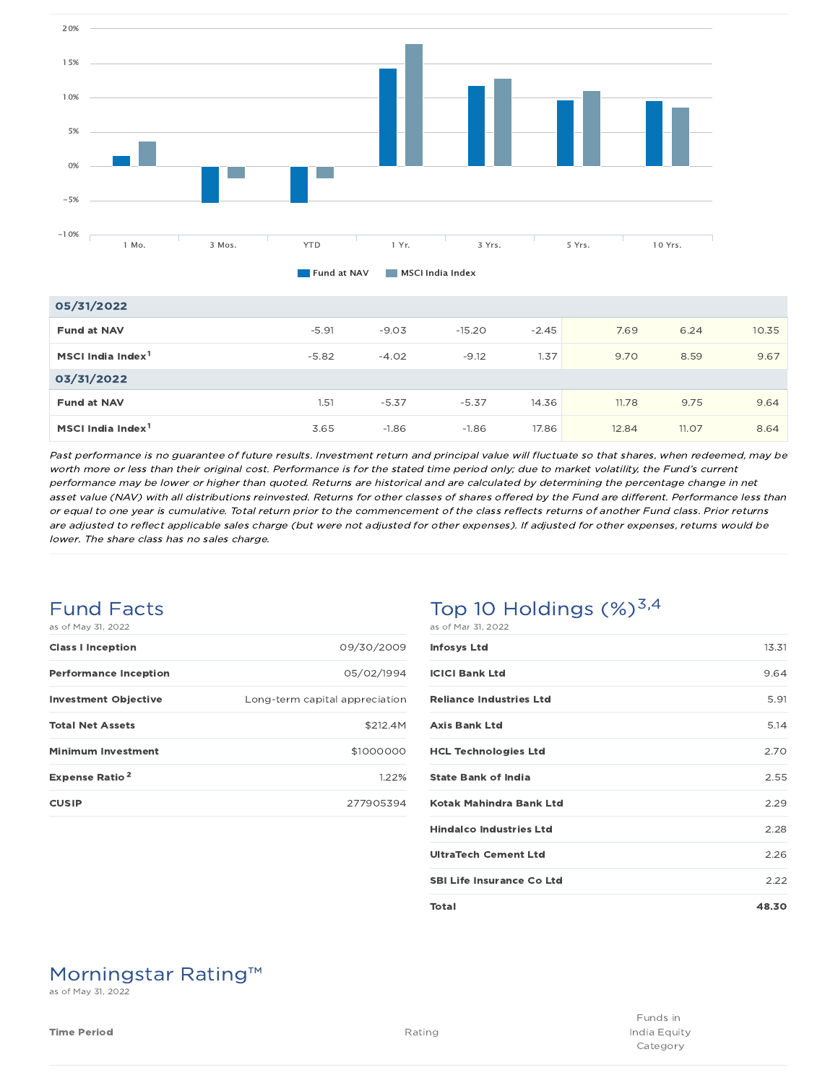

| 05/31/2022                    |         |         |          |         |       |       |       |
|-------------------------------|---------|---------|----------|---------|-------|-------|-------|
| <b>Fund at NAV</b>            | $-5.91$ | $-9.03$ | $-15.20$ | $-2.45$ | 7.69  | 6.24  | 10.35 |
| MSCI India Index <sup>1</sup> | $-5.82$ | $-4.02$ | $-9.12$  | 1.37    | 9.70  | 8.59  | 9.67  |
| 03/31/2022                    |         |         |          |         |       |       |       |
| <b>Fund at NAV</b>            | 1.51    | $-5.37$ | $-5.37$  | 14.36   | 11.78 | 9.75  | 9.64  |
| MSCI India Index <sup>1</sup> | 3.65    | $-1.86$ | $-1.86$  | 17.86   | 12.84 | 11.07 | 8.64  |

Past performance is no guarantee of future results. Investment return and principal value will fluctuate so that shares, when redeemed, may be worth more or less than their original cost. Performance is for the stated time period only; due to market volatility, the Fund's current performance may be lower or higher than quoted. Returns are historical and are calculated by determining the percentage change in net asset value (NAV) with all distributions reinvested. Returns for other classes of shares offered by the Fund are different. Performance less than or equal to one year is cumulative. Total return prior to the commencement of the class reflects returns of another Fund class. Prior returns are adjusted to reflect applicable sales charge (but were not adjusted for other expenses). If adjusted for other expenses, returns would be lower. The share class has no sales charge.

#### Fund Facts as of May 31, 2022

| as ul may ul, zuzz               |                                |
|----------------------------------|--------------------------------|
| <b>Class I Inception</b>         | 09/30/2009                     |
| <b>Performance Inception</b>     | 05/02/1994                     |
| <b>Investment Objective</b>      | Long-term capital appreciation |
| <b>Total Net Assets</b>          | \$212.4M                       |
| <b>Minimum Investment</b>        | \$1000000                      |
| <b>Expense Ratio<sup>2</sup></b> | 1.22%                          |
| <b>CUSIP</b>                     | 277905394                      |

# Top 10 Holdings  $(\%)^{3,4}$

| as of Mar 31, 2022               |       |
|----------------------------------|-------|
| <b>Infosys Ltd</b>               | 13.31 |
| <b>ICICI Bank Ltd</b>            | 9.64  |
| <b>Reliance Industries Ltd</b>   | 5.91  |
| <b>Axis Bank Ltd</b>             | 5.14  |
| <b>HCL Technologies Ltd</b>      | 2.70  |
| <b>State Bank of India</b>       | 2.55  |
| Kotak Mahindra Bank Ltd          | 2.29  |
| <b>Hindalco Industries Ltd</b>   | 2.28  |
| <b>UltraTech Cement Ltd</b>      | 2.26  |
| <b>SBI Life Insurance Co Ltd</b> | 2.22  |
| Total                            | 48.30 |

# Morningstar Rating™

as of May 31, 2022

Funds in India Equity Category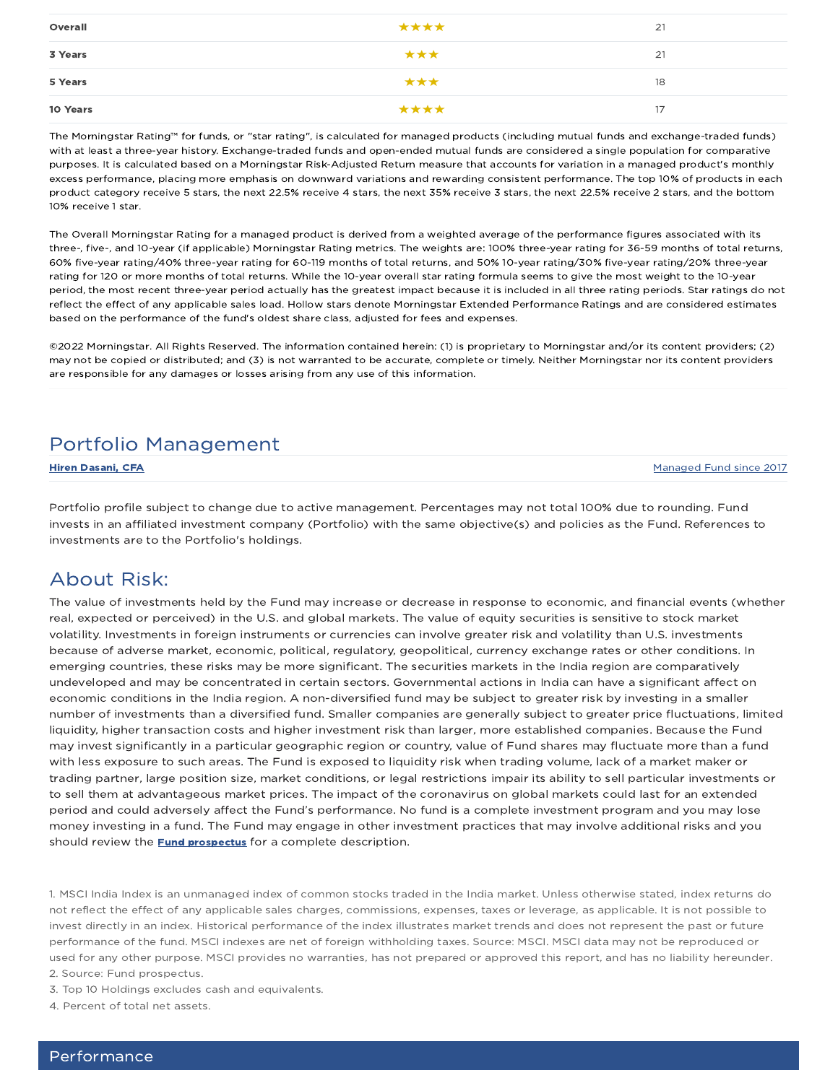| Overall  | **** | 21 |
|----------|------|----|
| 3 Years  | ***  | 21 |
| 5 Years  | ***  | 18 |
| 10 Years | **** | 17 |

The Morningstar Rating™ for funds, or "star rating", is calculated for managed products (including mutual funds and exchange-traded funds) with at least a three-year history. Exchange-traded funds and open-ended mutual funds are considered a single population for comparative purposes. It is calculated based on a Morningstar Risk-Adjusted Return measure that accounts for variation in a managed product's monthly excess performance, placing more emphasis on downward variations and rewarding consistent performance. The top 10% of products in each product category receive 5 stars, the next 22.5% receive 4 stars, the next 35% receive 3 stars, the next 22.5% receive 2 stars, and the bottom 10% receive 1 star.

The Overall Morningstar Rating for a managed product is derived from a weighted average of the performance figures associated with its three-, five-, and 10-year (if applicable) Morningstar Rating metrics. The weights are: 100% three-year rating for 36-59 months of total returns, 60% five-year rating/40% three-year rating for 60-119 months of total returns, and 50% 10-year rating/30% five-year rating/20% three-year rating for 120 or more months of total returns. While the 10-year overall star rating formula seems to give the most weight to the 10-year period, the most recent three-year period actually has the greatest impact because it is included in all three rating periods. Star ratings do not reflect the effect of any applicable sales load. Hollow stars denote Morningstar Extended Performance Ratings and are considered estimates based on the performance of the fund's oldest share class, adjusted for fees and expenses.

©2022 Morningstar. All Rights Reserved. The information contained herein: (1) is proprietary to Morningstar and/or its content providers; (2) may not be copied or distributed; and (3) is not warranted to be accurate, complete or timely. Neither Morningstar nor its content providers are responsible for any damages or losses arising from any use of this information.

## Portfolio Management

**Hiren Dasani, CFA** Managed Fund since 2017

Portfolio profile subject to change due to active management. Percentages may not total 100% due to rounding. Fund invests in an affiliated investment company (Portfolio) with the same objective(s) and policies as the Fund. References to investments are to the Portfolio's holdings.

### About Risk:

The value of investments held by the Fund may increase or decrease in response to economic, and financial events (whether real, expected or perceived) in the U.S. and global markets. The value of equity securities is sensitive to stock market volatility. Investments in foreign instruments or currencies can involve greater risk and volatility than U.S. investments because of adverse market, economic, political, regulatory, geopolitical, currency exchange rates or other conditions. In emerging countries, these risks may be more significant. The securities markets in the India region are comparatively undeveloped and may be concentrated in certain sectors. Governmental actions in India can have a significant affect on economic conditions in the India region. A non-diversified fund may be subject to greater risk by investing in a smaller number of investments than a diversified fund. Smaller companies are generally subject to greater price fluctuations, limited liquidity, higher transaction costs and higher investment risk than larger, more established companies. Because the Fund may invest significantly in a particular geographic region or country, value of Fund shares may fluctuate more than a fund with less exposure to such areas. The Fund is exposed to liquidity risk when trading volume, lack of a market maker or trading partner, large position size, market conditions, or legal restrictions impair its ability to sell particular investments or to sell them at advantageous market prices. The impact of the coronavirus on global markets could last for an extended period and could adversely affect the Fund's performance. No fund is a complete investment program and you may lose money investing in a fund. The Fund may engage in other investment practices that may involve additional risks and you should review the **Fund prospectus** for a complete description.

1. MSCI India Index is an unmanaged index of common stocks traded in the India market. Unless otherwise stated, index returns do not reflect the effect of any applicable sales charges, commissions, expenses, taxes or leverage, as applicable. It is not possible to invest directly in an index. Historical performance of the index illustrates market trends and does not represent the past or future performance of the fund. MSCI indexes are net of foreign withholding taxes. Source: MSCI. MSCI data may not be reproduced or used for any other purpose. MSCI provides no warranties, has not prepared or approved this report, and has no liability hereunder. 2. Source: Fund prospectus.

3. Top 10 Holdings excludes cash and equivalents.

4. Percent of total net assets.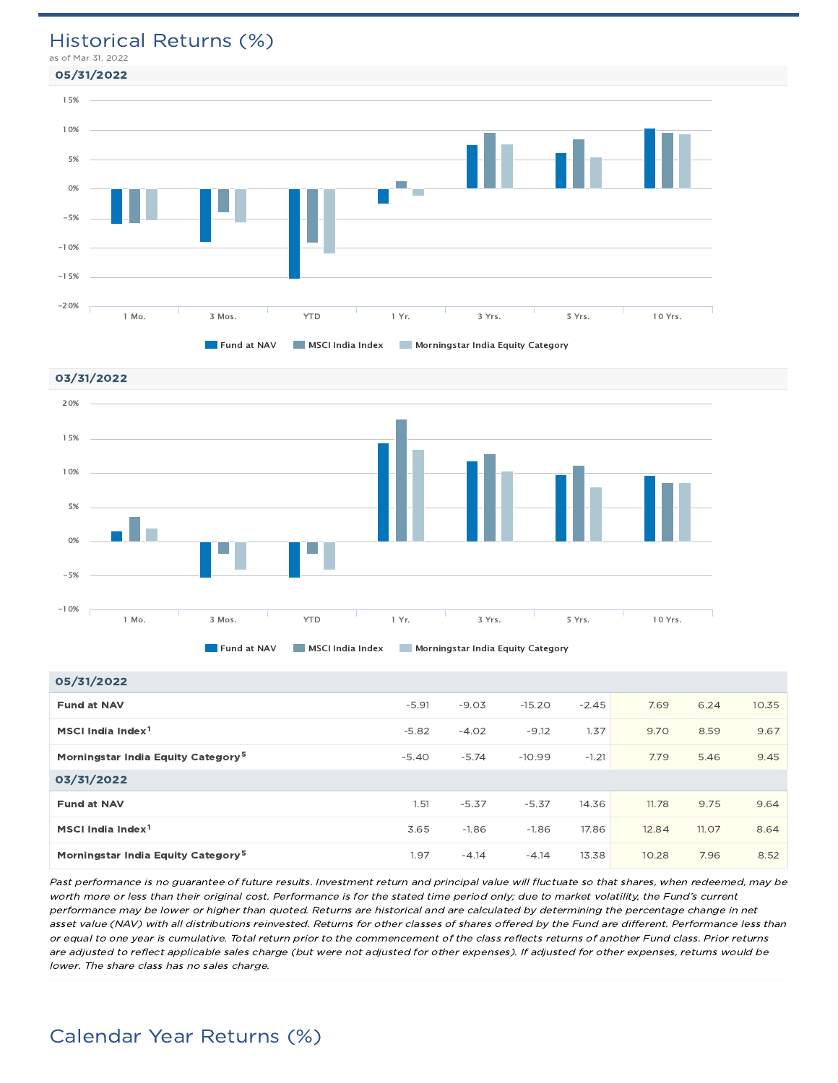### Historical Returns (%)

as of Mar 31, 2022





#### 05/31/2022

| <b>US/SI/ZUZZ</b>                              |         |         |          |         |       |       |       |
|------------------------------------------------|---------|---------|----------|---------|-------|-------|-------|
| <b>Fund at NAV</b>                             | $-5.91$ | $-9.03$ | $-15.20$ | $-2.45$ | 7.69  | 6.24  | 10.35 |
| MSCI India Index <sup>1</sup>                  | $-5.82$ | $-4.02$ | $-9.12$  | 1.37    | 9.70  | 8.59  | 9.67  |
| Morningstar India Equity Category <sup>5</sup> | $-5.40$ | $-5.74$ | $-10.99$ | $-1.21$ | 7.79  | 5.46  | 9.45  |
| 03/31/2022                                     |         |         |          |         |       |       |       |
| <b>Fund at NAV</b>                             | 1.51    | $-5.37$ | $-5.37$  | 14.36   | 11.78 | 9.75  | 9.64  |
| MSCI India Index <sup>1</sup>                  | 3.65    | $-1.86$ | $-1.86$  | 17.86   | 12.84 | 11.07 | 8.64  |
| Morningstar India Equity Category <sup>5</sup> | 1.97    | $-4.14$ | $-4.14$  | 13.38   | 10.28 | 7.96  | 8.52  |

Past performance is no guarantee of future results. Investment return and principal value will fluctuate so that shares, when redeemed, may be worth more or less than their original cost. Performance is for the stated time period only; due to market volatility, the Fund's current performance may be lower or higher than quoted. Returns are historical and are calculated by determining the percentage change in net asset value (NAV) with all distributions reinvested. Returns for other classes of shares offered by the Fund are different. Performance less than or equal to one year is cumulative. Total return prior to the commencement of the class reflects returns of another Fund class. Prior returns are adjusted to reflect applicable sales charge (but were not adjusted for other expenses). If adjusted for other expenses, returns would be lower. The share class has no sales charge.

### Calendar Year Returns (%)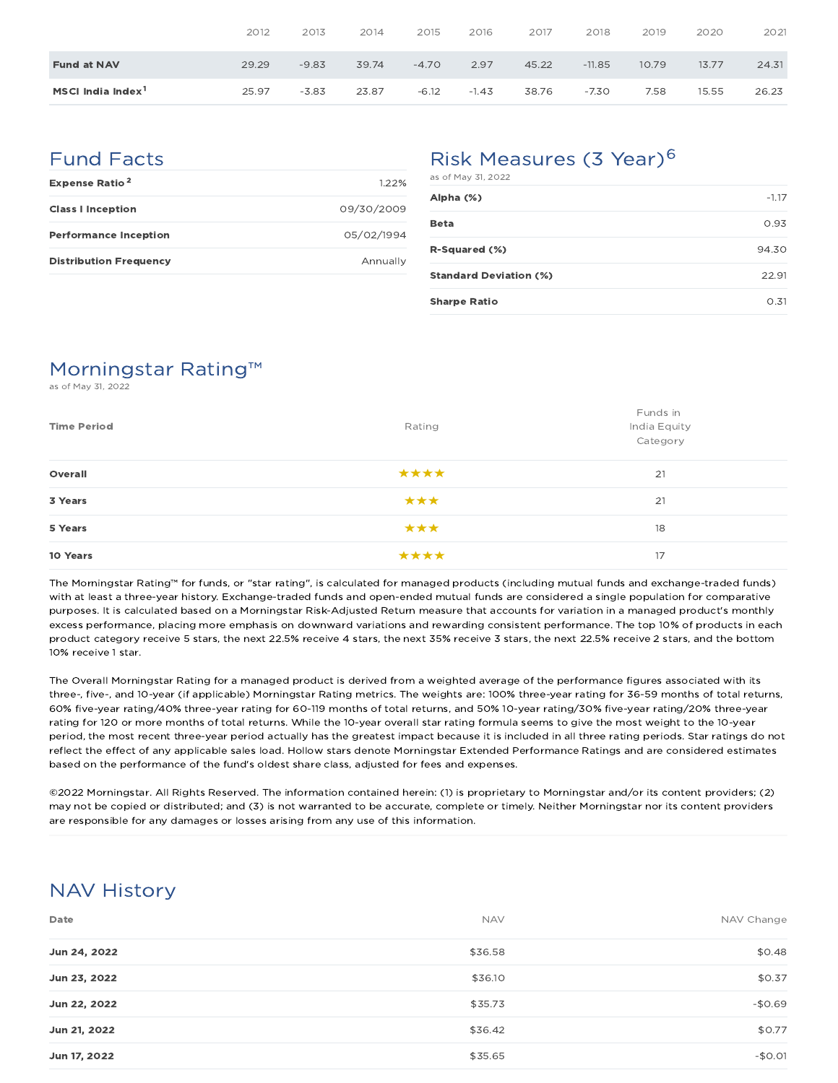|                               | 2012  | 2013    | 2014  | 2015    | 2016    | 2017  | 2018     | 2019  | 2020  | 2021  |
|-------------------------------|-------|---------|-------|---------|---------|-------|----------|-------|-------|-------|
| <b>Fund at NAV</b>            | 29.29 | $-9.83$ | 39.74 | $-4.70$ | 2.97    | 45.22 | $-11.85$ | 10.79 | 13.77 | 24.31 |
| MSCI India Index <sup>1</sup> | 25.97 | $-3.83$ | 23.87 | $-6.12$ | $-1.43$ | 38.76 | $-7.30$  | 7.58  | 15.55 | 26.23 |

### Fund Facts

| <b>Expense Ratio<sup>2</sup></b> | 122%       |
|----------------------------------|------------|
| <b>Class I Inception</b>         | 09/30/2009 |
| <b>Performance Inception</b>     | 05/02/1994 |
| <b>Distribution Frequency</b>    | Annually   |

# Risk Measures (3 Year)<sup>6</sup>

| as of May 31, 2022            |         |
|-------------------------------|---------|
| Alpha (%)                     | $-1.17$ |
| <b>Beta</b>                   | 0.93    |
| R-Squared (%)                 | 94.30   |
| <b>Standard Deviation (%)</b> | 22.91   |
| <b>Sharpe Ratio</b>           | 0.31    |

# Morningstar Rating™

as of May 31, 2022

| <b>Time Period</b> | Rating | Funds in<br>India Equity<br>Category |
|--------------------|--------|--------------------------------------|
| Overall            | ****   | 21                                   |
| 3 Years            | ***    | 21                                   |
| 5 Years            | ***    | 18                                   |
| 10 Years           | ****   | 17                                   |

The Morningstar Rating™ for funds, or "star rating", is calculated for managed products (including mutual funds and exchange-traded funds) with at least a three-year history. Exchange-traded funds and open-ended mutual funds are considered a single population for comparative purposes. It is calculated based on a Morningstar Risk-Adjusted Return measure that accounts for variation in a managed product's monthly excess performance, placing more emphasis on downward variations and rewarding consistent performance. The top 10% of products in each product category receive 5 stars, the next 22.5% receive 4 stars, the next 35% receive 3 stars, the next 22.5% receive 2 stars, and the bottom 10% receive 1 star.

The Overall Morningstar Rating for a managed product is derived from a weighted average of the performance figures associated with its three-, five-, and 10-year (if applicable) Morningstar Rating metrics. The weights are: 100% three-year rating for 36-59 months of total returns, 60% five-year rating/40% three-year rating for 60-119 months of total returns, and 50% 10-year rating/30% five-year rating/20% three-year rating for 120 or more months of total returns. While the 10-year overall star rating formula seems to give the most weight to the 10-year period, the most recent three-year period actually has the greatest impact because it is included in all three rating periods. Star ratings do not reflect the effect of any applicable sales load. Hollow stars denote Morningstar Extended Performance Ratings and are considered estimates based on the performance of the fund's oldest share class, adjusted for fees and expenses.

©2022 Morningstar. All Rights Reserved. The information contained herein: (1) is proprietary to Morningstar and/or its content providers; (2) may not be copied or distributed; and (3) is not warranted to be accurate, complete or timely. Neither Morningstar nor its content providers are responsible for any damages or losses arising from any use of this information.

### NAV History

| Date         | <b>NAV</b> | NAV Change |
|--------------|------------|------------|
| Jun 24, 2022 | \$36.58    | \$0.48     |
| Jun 23, 2022 | \$36.10    | \$0.37     |
| Jun 22, 2022 | \$35.73    | $-$0.69$   |
| Jun 21, 2022 | \$36.42    | \$0.77     |
| Jun 17, 2022 | \$35.65    | $-$0.01$   |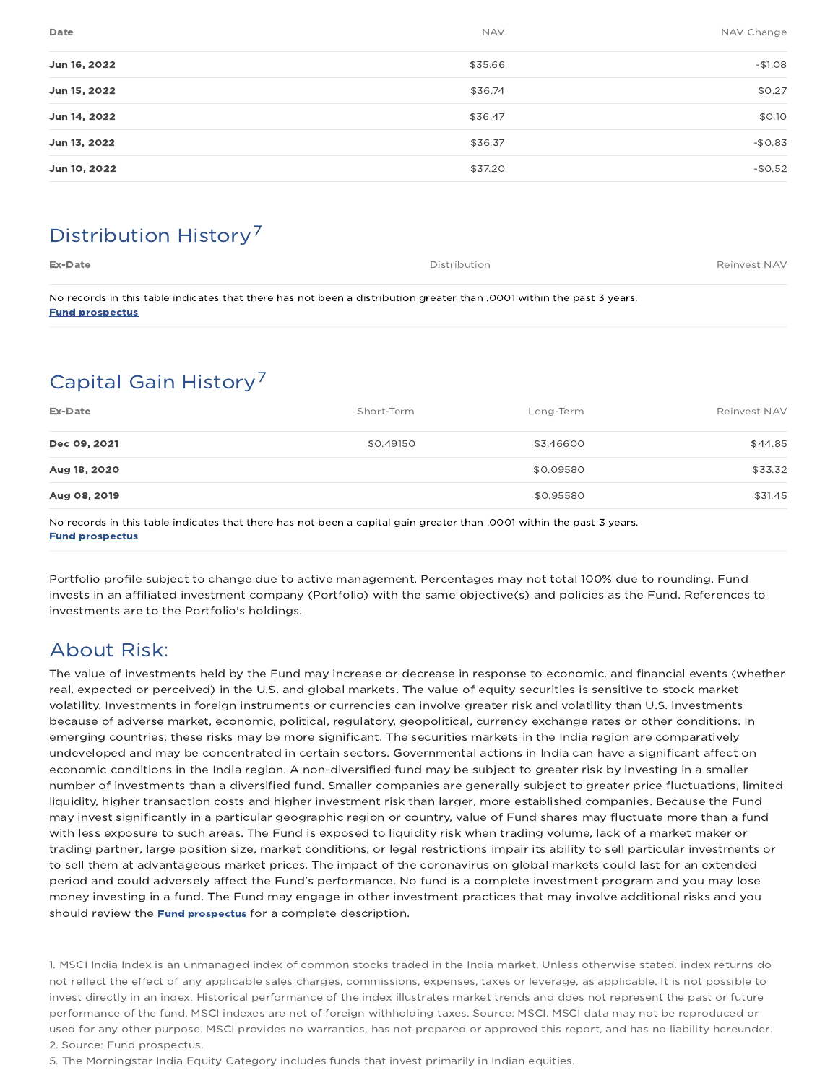| Date         | <b>NAV</b> | NAV Change |
|--------------|------------|------------|
| Jun 16, 2022 | \$35.66    | $-$1.08$   |
| Jun 15, 2022 | \$36.74    | \$0.27     |
| Jun 14, 2022 | \$36.47    | \$0.10     |
| Jun 13, 2022 | \$36.37    | $-$0.83$   |
| Jun 10, 2022 | \$37.20    | $-$0.52$   |
|              |            |            |

# Distribution History 7

Ex-Date **Ex-Date** Reinvest NAV and the Distribution of the Distribution of the Distribution of the Reinvest NAV

No records in this table indicates that there has not been a distribution greater than .0001 within the past 3 years. Fund prospectus

# Capital Gain History<sup>7</sup>

| Ex-Date      | Short-Term | Long-Term | Reinvest NAV |
|--------------|------------|-----------|--------------|
| Dec 09, 2021 | \$0.49150  | \$3,46600 | \$44.85      |
| Aug 18, 2020 |            | \$0.09580 | \$33.32      |
| Aug 08, 2019 |            | \$0.95580 | \$31.45      |
|              |            |           |              |

No records in this table indicates that there has not been a capital gain greater than .0001 within the past 3 years. Fund prospectus

Portfolio profile subject to change due to active management. Percentages may not total 100% due to rounding. Fund invests in an affiliated investment company (Portfolio) with the same objective(s) and policies as the Fund. References to investments are to the Portfolio's holdings.

### About Risk:

The value of investments held by the Fund may increase or decrease in response to economic, and financial events (whether real, expected or perceived) in the U.S. and global markets. The value of equity securities is sensitive to stock market volatility. Investments in foreign instruments or currencies can involve greater risk and volatility than U.S. investments because of adverse market, economic, political, regulatory, geopolitical, currency exchange rates or other conditions. In emerging countries, these risks may be more significant. The securities markets in the India region are comparatively undeveloped and may be concentrated in certain sectors. Governmental actions in India can have a significant affect on economic conditions in the India region. A non-diversified fund may be subject to greater risk by investing in a smaller number of investments than a diversified fund. Smaller companies are generally subject to greater price fluctuations, limited liquidity, higher transaction costs and higher investment risk than larger, more established companies. Because the Fund may invest significantly in a particular geographic region or country, value of Fund shares may fluctuate more than a fund with less exposure to such areas. The Fund is exposed to liquidity risk when trading volume, lack of a market maker or trading partner, large position size, market conditions, or legal restrictions impair its ability to sell particular investments or to sell them at advantageous market prices. The impact of the coronavirus on global markets could last for an extended period and could adversely affect the Fund's performance. No fund is a complete investment program and you may lose money investing in a fund. The Fund may engage in other investment practices that may involve additional risks and you should review the **Fund prospectus** for a complete description.

1. MSCI India Index is an unmanaged index of common stocks traded in the India market. Unless otherwise stated, index returns do not reflect the effect of any applicable sales charges, commissions, expenses, taxes or leverage, as applicable. It is not possible to invest directly in an index. Historical performance of the index illustrates market trends and does not represent the past or future performance of the fund. MSCI indexes are net of foreign withholding taxes. Source: MSCI. MSCI data may not be reproduced or used for any other purpose. MSCI provides no warranties, has not prepared or approved this report, and has no liability hereunder. 2. Source: Fund prospectus.

5. The Morningstar India Equity Category includes funds that invest primarily in Indian equities.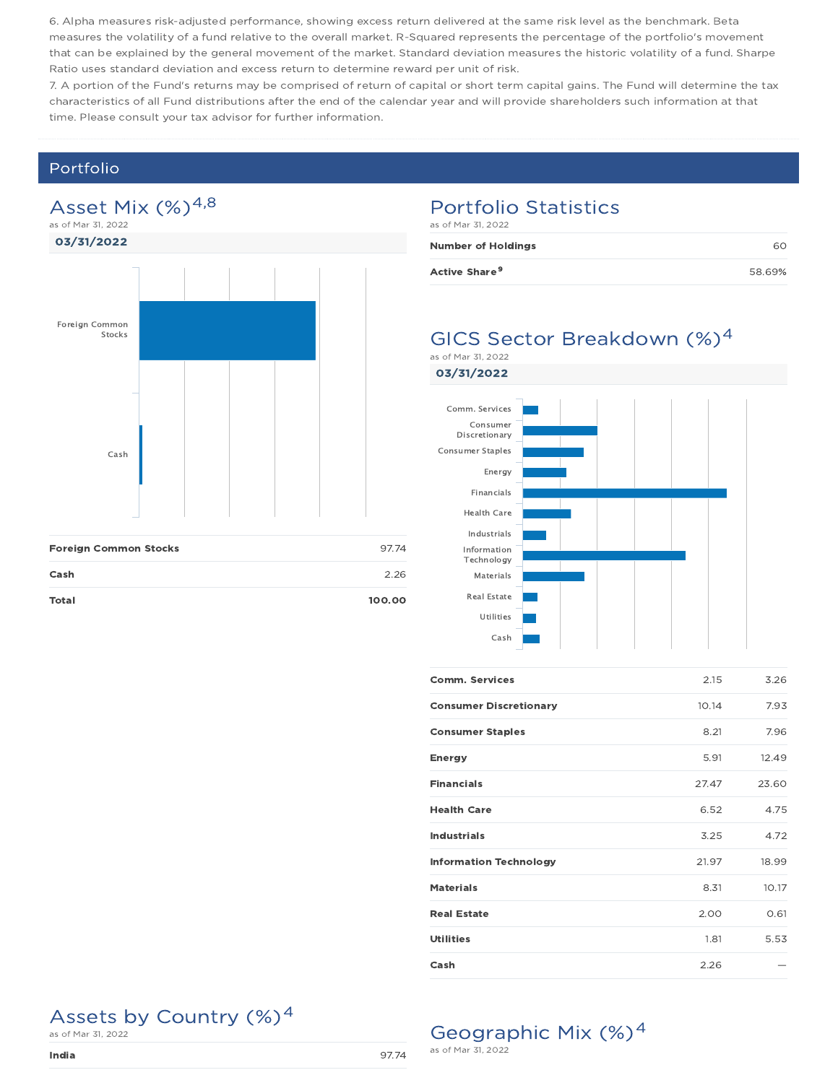6. Alpha measures risk-adjusted performance, showing excess return delivered at the same risk level as the benchmark. Beta measures the volatility of a fund relative to the overall market. R-Squared represents the percentage of the portfolio's movement that can be explained by the general movement of the market. Standard deviation measures the historic volatility of a fund. Sharpe Ratio uses standard deviation and excess return to determine reward per unit of risk.

7. A portion of the Fund's returns may be comprised of return of capital or short term capital gains. The Fund will determine the tax characteristics of all Fund distributions after the end of the calendar year and will provide shareholders such information at that time. Please consult your tax advisor for further information.

#### Portfolio

#### Asset Mix  $(\%)^{4,8}$ as of Mar 31, 2022

03/31/2022



#### Portfolio Statistics as of Mar 31, 2022

| <b>Number of Holdings</b> |        |
|---------------------------|--------|
| Active Share <sup>9</sup> | 58.69% |

#### GICS Sector Breakdown (%)<sup>4</sup> as of Mar 31, 2022

03/31/2022



| <b>Comm. Services</b>         | 2.15  | 3.26  |
|-------------------------------|-------|-------|
| <b>Consumer Discretionary</b> | 10.14 | 7.93  |
| <b>Consumer Staples</b>       | 8.21  | 7.96  |
| <b>Energy</b>                 | 5.91  | 12.49 |
| <b>Financials</b>             | 27.47 | 23.60 |
| <b>Health Care</b>            | 6.52  | 4.75  |
| <b>Industrials</b>            | 3.25  | 4.72  |
| <b>Information Technology</b> | 21.97 | 18.99 |
| <b>Materials</b>              | 8.31  | 10.17 |
| <b>Real Estate</b>            | 2.00  | 0.61  |
| <b>Utilities</b>              | 1.81  | 5.53  |
| Cash                          | 2.26  |       |

Geographic Mix (%)<sup>4</sup>

as of Mar 31, 2022

# Assets by Country  $(\%)^4$  as of Mar 31, 2022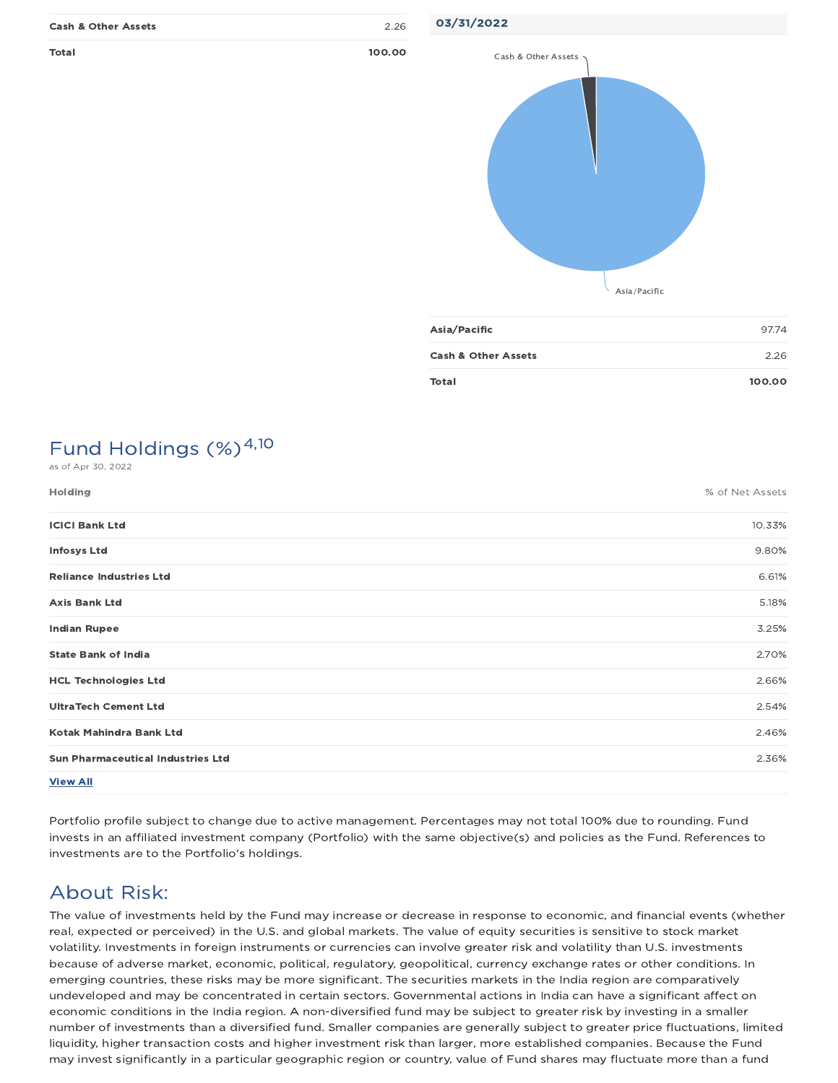| <b>Cash &amp; Other Assets</b> | 2.26   |
|--------------------------------|--------|
| Total                          | 100.00 |

03/31/2022



| Asia/Pacific                   | 97.74  |
|--------------------------------|--------|
| <b>Cash &amp; Other Assets</b> | 2.26   |
| <b>Total</b>                   | 100.00 |

#### Fund Holdings (%)<sup>4,10</sup> as of Apr 30, 2022

| Holding                                  | % of Net Assets |
|------------------------------------------|-----------------|
| <b>ICICI Bank Ltd</b>                    | 10.33%          |
| <b>Infosys Ltd</b>                       | 9.80%           |
| <b>Reliance Industries Ltd</b>           | 6.61%           |
| <b>Axis Bank Ltd</b>                     | 5.18%           |
| <b>Indian Rupee</b>                      | 3.25%           |
| <b>State Bank of India</b>               | 2.70%           |
| <b>HCL Technologies Ltd</b>              | 2.66%           |
| <b>UltraTech Cement Ltd</b>              | 2.54%           |
| Kotak Mahindra Bank Ltd                  | 2.46%           |
| <b>Sun Pharmaceutical Industries Ltd</b> | 2.36%           |
| <b>View All</b>                          |                 |

Portfolio profile subject to change due to active management. Percentages may not total 100% due to rounding. Fund invests in an affiliated investment company (Portfolio) with the same objective(s) and policies as the Fund. References to investments are to the Portfolio's holdings.

# About Risk:

The value of investments held by the Fund may increase or decrease in response to economic, and financial events (whether real, expected or perceived) in the U.S. and global markets. The value of equity securities is sensitive to stock market volatility. Investments in foreign instruments or currencies can involve greater risk and volatility than U.S. investments because of adverse market, economic, political, regulatory, geopolitical, currency exchange rates or other conditions. In emerging countries, these risks may be more significant. The securities markets in the India region are comparatively undeveloped and may be concentrated in certain sectors. Governmental actions in India can have a significant affect on economic conditions in the India region. A non-diversified fund may be subject to greater risk by investing in a smaller number of investments than a diversified fund. Smaller companies are generally subject to greater price fluctuations, limited liquidity, higher transaction costs and higher investment risk than larger, more established companies. Because the Fund may invest significantly in a particular geographic region or country, value of Fund shares may fluctuate more than a fund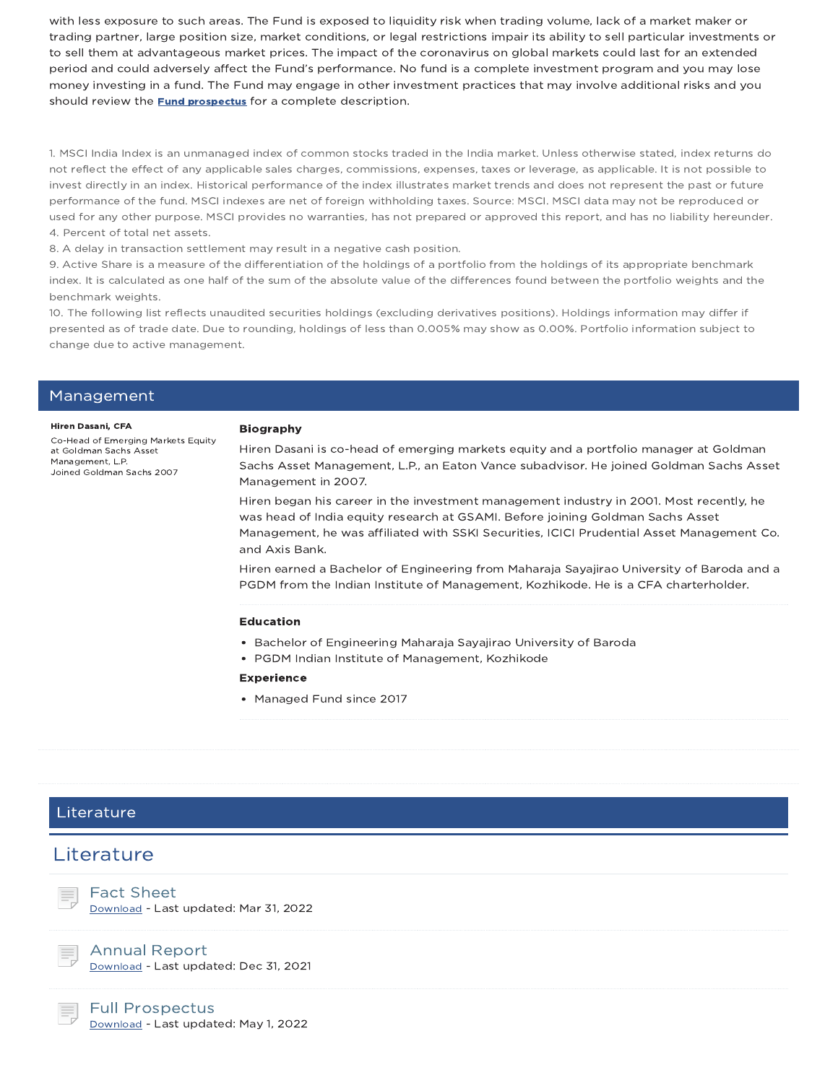with less exposure to such areas. The Fund is exposed to liquidity risk when trading volume, lack of a market maker or trading partner, large position size, market conditions, or legal restrictions impair its ability to sell particular investments or to sell them at advantageous market prices. The impact of the coronavirus on global markets could last for an extended period and could adversely affect the Fund's performance. No fund is a complete investment program and you may lose money investing in a fund. The Fund may engage in other investment practices that may involve additional risks and you should review the **Fund prospectus** for a complete description.

1. MSCI India Index is an unmanaged index of common stocks traded in the India market. Unless otherwise stated, index returns do not reflect the effect of any applicable sales charges, commissions, expenses, taxes or leverage, as applicable. It is not possible to invest directly in an index. Historical performance of the index illustrates market trends and does not represent the past or future performance of the fund. MSCI indexes are net of foreign withholding taxes. Source: MSCI. MSCI data may not be reproduced or used for any other purpose. MSCI provides no warranties, has not prepared or approved this report, and has no liability hereunder. 4. Percent of total net assets.

8. A delay in transaction settlement may result in a negative cash position.

9. Active Share is a measure of the differentiation of the holdings of a portfolio from the holdings of its appropriate benchmark index. It is calculated as one half of the sum of the absolute value of the differences found between the portfolio weights and the benchmark weights.

10. The following list reflects unaudited securities holdings (excluding derivatives positions). Holdings information may differ if presented as of trade date. Due to rounding, holdings of less than 0.005% may show as 0.00%. Portfolio information subject to change due to active management.

#### Management

#### Hiren Dasani, CFA

Co-Head of Emerging Markets Equity at Goldman Sachs Asset Management, L.P. Joined Goldman Sachs 2007

#### Biography

Hiren Dasani is co-head of emerging markets equity and a portfolio manager at Goldman Sachs Asset Management, L.P., an Eaton Vance subadvisor. He joined Goldman Sachs Asset Management in 2007.

Hiren began his career in the investment management industry in 2001. Most recently, he was head of India equity research at GSAMI. Before joining Goldman Sachs Asset Management, he was affiliated with SSKI Securities, ICICI Prudential Asset Management Co. and Axis Bank.

Hiren earned a Bachelor of Engineering from Maharaja Sayajirao University of Baroda and a PGDM from the Indian Institute of Management, Kozhikode. He is a CFA charterholder.

#### Education

- Bachelor of Engineering Maharaja Sayajirao University of Baroda
- PGDM Indian Institute of Management, Kozhikode

#### Experience

• Managed Fund since 2017

#### Literature

### **Literature**



Fact Sheet Download - Last updated: Mar 31, 2022



Annual Report

Download - Last updated: Dec 31, 2021

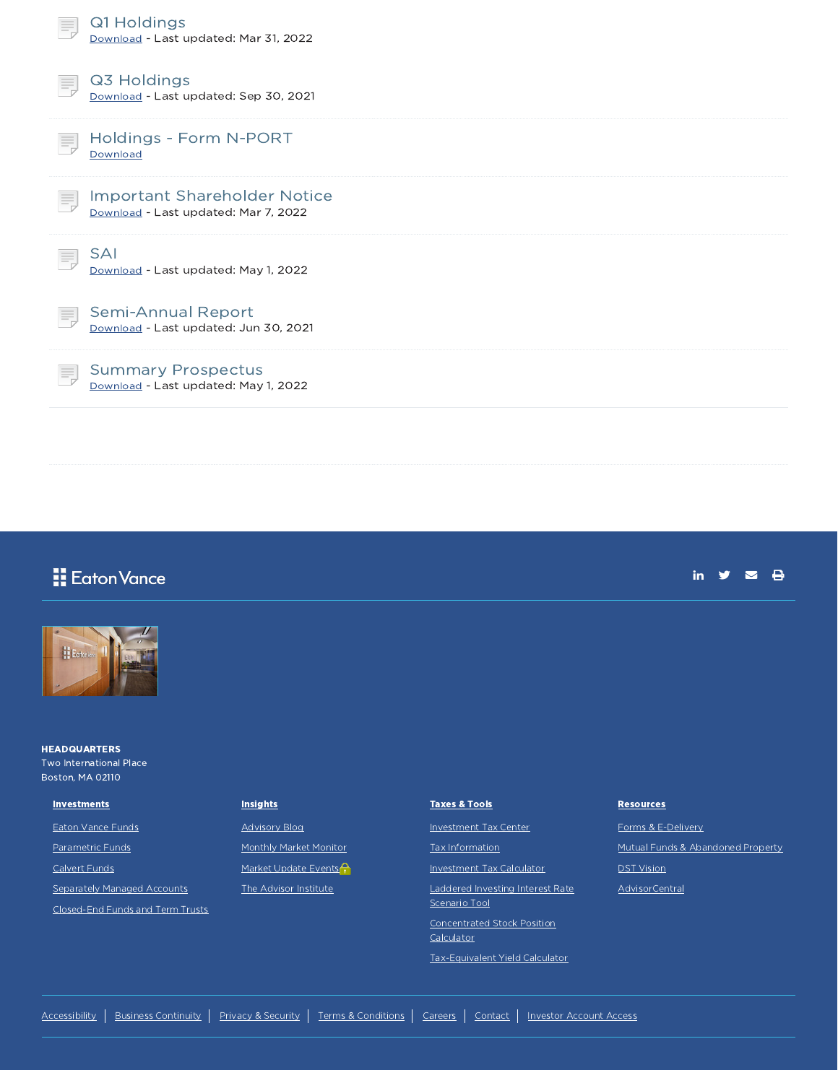| Q1 Holdings<br>Download - Last updated: Mar 31, 2022                        |
|-----------------------------------------------------------------------------|
| Q3 Holdings<br>Download - Last updated: Sep 30, 2021                        |
| Holdings - Form N-PORT<br>Download                                          |
| <b>Important Shareholder Notice</b><br>Download - Last updated: Mar 7, 2022 |
| <b>SAI</b><br>Download - Last updated: May 1, 2022                          |
| Semi-Annual Report<br>ᄐ<br>Download - Last updated: Jun 30, 2021            |
| <b>Summary Prospectus</b><br>Download - Last updated: May 1, 2022           |
|                                                                             |

## Eaton Vance



**HEADQUARTERS** Two International Place Boston, MA 02110

#### **Investments**

Eaton Vance Funds

Parametric Funds

Calvert Funds

Separately Managed Accounts

Closed-End Funds and Term Trusts

#### **Insights**

Advisory Blog

Monthly Market Monitor

Market Update Events<sup>2</sup>

The Advisor Institute

#### Taxes & Tools

Investment Tax Center

Tax Information

Investment Tax Calculator

Laddered Investing Interest Rate

Scenario Tool Concentrated Stock Position

**Calculator** 

Tax-Equivalent Yield Calculator

#### **Resources**

Forms & E-Delivery Mutual Funds & Abandoned Property DST Vision

in  $y = 0$ 

AdvisorCentral

Accessibility | Business Continuity | Privacy & Security | Terms & Conditions | Careers | Contact | Investor Account Access